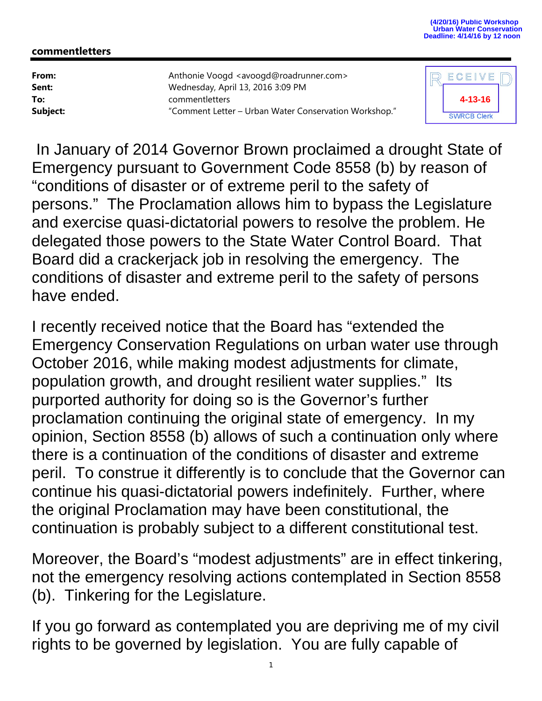## **commentletters**

**From:** Anthonie Voogd <avoogd@roadrunner.com> **Sent:** Wednesday, April 13, 2016 3:09 PM **To:** commentletters **Subject:** "Comment Letter – Urban Water Conservation Workshop."



 In January of 2014 Governor Brown proclaimed a drought State of Emergency pursuant to Government Code 8558 (b) by reason of "conditions of disaster or of extreme peril to the safety of persons." The Proclamation allows him to bypass the Legislature and exercise quasi-dictatorial powers to resolve the problem. He delegated those powers to the State Water Control Board. That Board did a crackerjack job in resolving the emergency. The conditions of disaster and extreme peril to the safety of persons have ended.

I recently received notice that the Board has "extended the Emergency Conservation Regulations on urban water use through October 2016, while making modest adjustments for climate, population growth, and drought resilient water supplies." Its purported authority for doing so is the Governor's further proclamation continuing the original state of emergency. In my opinion, Section 8558 (b) allows of such a continuation only where there is a continuation of the conditions of disaster and extreme peril. To construe it differently is to conclude that the Governor can continue his quasi-dictatorial powers indefinitely. Further, where the original Proclamation may have been constitutional, the continuation is probably subject to a different constitutional test.

Moreover, the Board's "modest adjustments" are in effect tinkering, not the emergency resolving actions contemplated in Section 8558 (b). Tinkering for the Legislature.

If you go forward as contemplated you are depriving me of my civil rights to be governed by legislation. You are fully capable of